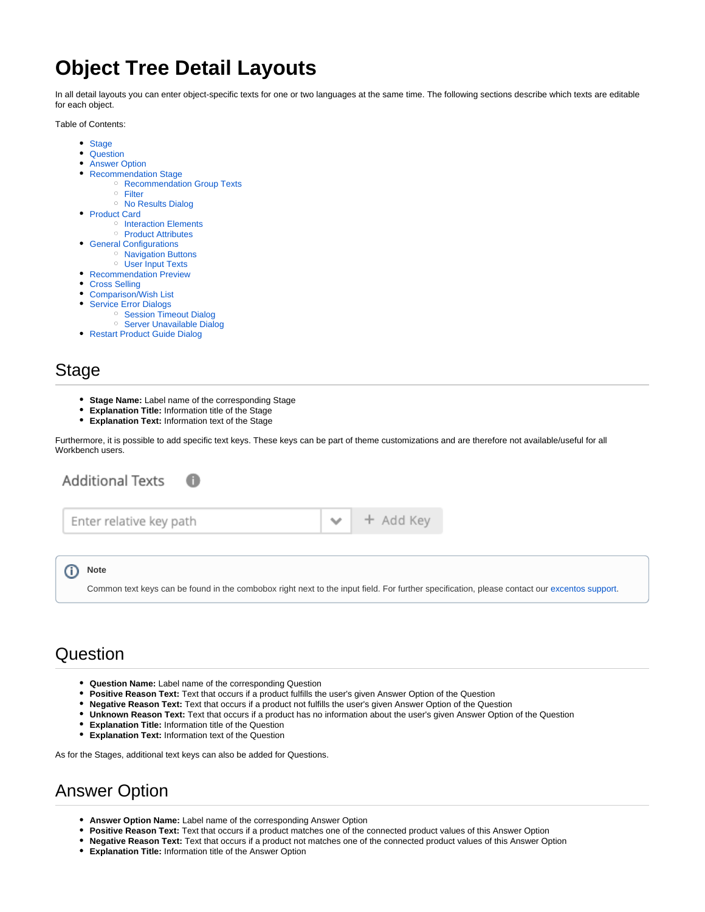# **Object Tree Detail Layouts**

In all detail layouts you can enter object-specific texts for one or two languages at the same time. The following sections describe which texts are editable for each object.

Table of Contents:

- [Stage](#page-0-0)
- [Question](#page-0-1)
- $\bullet$ [Answer Option](#page-0-2)
- $\bullet$ [Recommendation Stage](#page-1-0)
	- <sup>o</sup> [Recommendation Group Texts](#page-1-1)
		- <sup>o</sup> [Filter](#page-1-2)
		- <sup>o</sup> [No Results Dialog](#page-1-3)
- [Product Card](#page-1-4)
	- <sup>o</sup> [Interaction Elements](#page-1-5)
	- <sup>o</sup> [Product Attributes](#page-1-6)
- [General Configurations](#page-1-7)
	- <sup>o</sup> [Navigation Buttons](#page-1-8)
- [User Input Texts](#page-2-0) [Recommendation Preview](#page-2-1)
- 
- [Cross Selling](#page-2-2)
- [Comparison/Wish List](#page-2-3)  $\bullet$
- [Service Error Dialogs](#page-2-4)
- <sup>o</sup> [Session Timeout Dialog](#page-2-5) <sup>o</sup> [Server Unavailable Dialog](#page-2-6)
- [Restart Product Guide Dialog](#page-3-0)
- 

### <span id="page-0-0"></span>Stage

**Stage Name:** Label name of the corresponding Stage

A

- **Explanation Title:** Information title of the Stage
- **Explanation Text:** Information text of the Stage

Furthermore, it is possible to add specific text keys. These keys can be part of theme customizations and are therefore not available/useful for all Workbench users.

 $\checkmark$ 

**Additional Texts** 

| Enter relative key path |  |  |
|-------------------------|--|--|
|                         |  |  |

#### O) **Note**

Common text keys can be found in the combobox right next to the input field. For further specification, please contact our [excentos support.](https://documentation.excentos.com/display/GENERAL/Contact+excentos+Support)

+ Add Key

#### <span id="page-0-1"></span>**Question**

- **Question Name:** Label name of the corresponding Question
- **Positive Reason Text:** Text that occurs if a product fulfills the user's given Answer Option of the Question
- **Negative Reason Text:** Text that occurs if a product not fulfills the user's given Answer Option of the Question
- **Unknown Reason Text:** Text that occurs if a product has no information about the user's given Answer Option of the Question
- **Explanation Title:** Information title of the Question
- **Explanation Text:** Information text of the Question  $\bullet$

As for the Stages, additional text keys can also be added for Questions.

### <span id="page-0-2"></span>Answer Option

- **Answer Option Name:** Label name of the corresponding Answer Option
- **Positive Reason Text:** Text that occurs if a product matches one of the connected product values of this Answer Option
- **Negative Reason Text:** Text that occurs if a product not matches one of the connected product values of this Answer Option
- **Explanation Title:** Information title of the Answer Option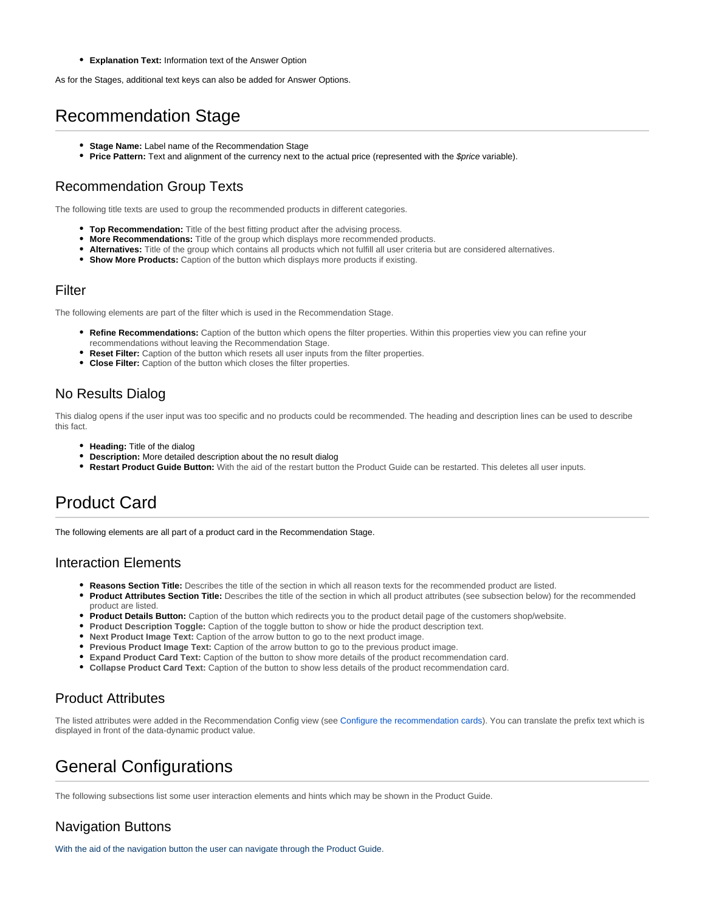**Explanation Text:** Information text of the Answer Option

As for the Stages, additional text keys can also be added for Answer Options.

### <span id="page-1-0"></span>Recommendation Stage

- **Stage Name:** Label name of the Recommendation Stage
- **Price Pattern:** Text and alignment of the currency next to the actual price (represented with the \$price variable).

#### <span id="page-1-1"></span>Recommendation Group Texts

The following title texts are used to group the recommended products in different categories.

- **Top Recommendation:** Title of the best fitting product after the advising process.
- **More Recommendations:** Title of the group which displays more recommended products.
- **Alternatives:** Title of the group which contains all products which not fulfill all user criteria but are considered alternatives.
- **Show More Products:** Caption of the button which displays more products if existing.

#### <span id="page-1-2"></span>Filter

The following elements are part of the filter which is used in the Recommendation Stage.

- **Refine Recommendations:** Caption of the button which opens the filter properties. Within this properties view you can refine your recommendations without leaving the Recommendation Stage.
- **Reset Filter:** Caption of the button which resets all user inputs from the filter properties.
- **Close Filter:** Caption of the button which closes the filter properties.

#### <span id="page-1-3"></span>No Results Dialog

This dialog opens if the user input was too specific and no products could be recommended. The heading and description lines can be used to describe this fact.

- **Heading:** Title of the dialog
- **Description:** More detailed description about the no result dialog
- **Restart Product Guide Button:** With the aid of the restart button the Product Guide can be restarted. This deletes all user inputs.

### <span id="page-1-4"></span>Product Card

The following elements are all part of a product card in the Recommendation Stage.

#### <span id="page-1-5"></span>Interaction Elements

- **Reasons Section Title:** Describes the title of the section in which all reason texts for the recommended product are listed.
- $\bullet$ **Product Attributes Section Title:** Describes the title of the section in which all product attributes (see subsection below) for the recommended product are listed.
- **Product Details Button:** Caption of the button which redirects you to the product detail page of the customers shop/website.
- **Product Description Toggle:** Caption of the toggle button to show or hide the product description text.
- **Next Product Image Text:** Caption of the arrow button to go to the next product image.
- **Previous Product Image Text:** Caption of the arrow button to go to the previous product image.
- **Expand Product Card Text:** Caption of the button to show more details of the product recommendation card.
- **Collapse Product Card Text:** Caption of the button to show less details of the product recommendation card.

#### <span id="page-1-6"></span>Product Attributes

The listed attributes were added in the Recommendation Config view (see [Configure the recommendation cards](https://documentation.excentos.com/display/WORKBENCH/Configure+the+recommendation+cards)). You can translate the prefix text which is displayed in front of the data-dynamic product value.

### <span id="page-1-7"></span>General Configurations

The following subsections list some user interaction elements and hints which may be shown in the Product Guide.

#### <span id="page-1-8"></span>Navigation Buttons

With the aid of the navigation button the user can navigate through the Product Guide.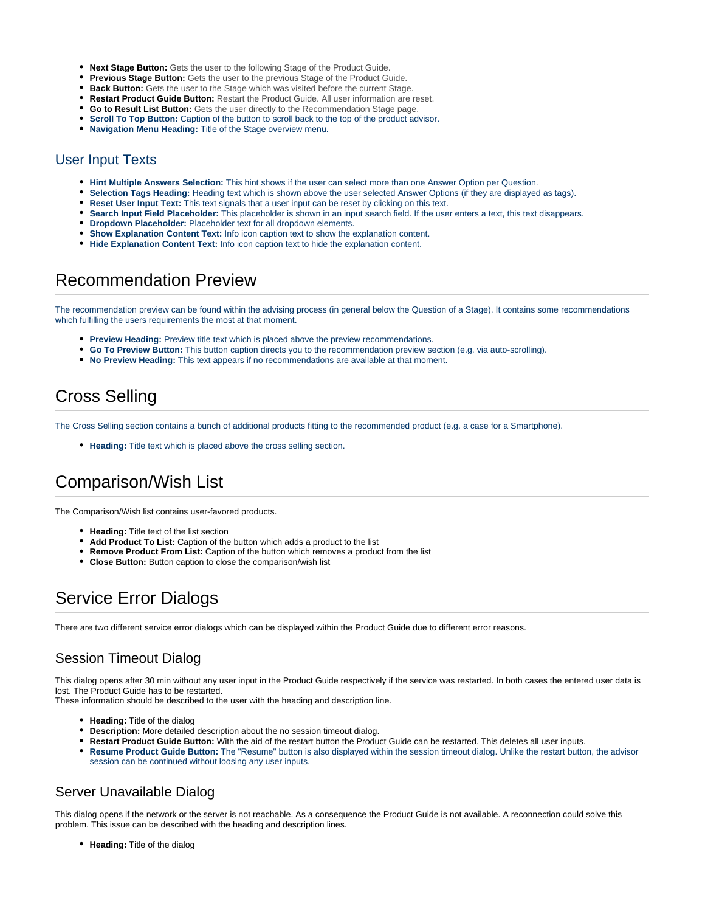- **Next Stage Button:** Gets the user to the following Stage of the Product Guide.
- **Previous Stage Button:** Gets the user to the previous Stage of the Product Guide.
- **Back Button:** Gets the user to the Stage which was visited before the current Stage.
- **Restart Product Guide Button:** Restart the Product Guide. All user information are reset.
- **Go to Result List Button:** Gets the user directly to the Recommendation Stage page.
- **Scroll To Top Button:** Caption of the button to scroll back to the top of the product advisor.
- **Navigation Menu Heading:** Title of the Stage overview menu.

#### <span id="page-2-0"></span>User Input Texts

- **Hint Multiple Answers Selection:** This hint shows if the user can select more than one Answer Option per Question.
- **Selection Tags Heading:** Heading text which is shown above the user selected Answer Options (if they are displayed as tags).
- **Reset User Input Text:** This text signals that a user input can be reset by clicking on this text.
- **Search Input Field Placeholder:** This placeholder is shown in an input search field. If the user enters a text, this text disappears.
- **Dropdown Placeholder:** Placeholder text for all dropdown elements.
- **Show Explanation Content Text:** Info icon caption text to show the explanation content.
- **Hide Explanation Content Text:** Info icon caption text to hide the explanation content.

### <span id="page-2-1"></span>Recommendation Preview

The recommendation preview can be found within the advising process (in general below the Question of a Stage). It contains some recommendations which fulfilling the users requirements the most at that moment.

- **Preview Heading:** Preview title text which is placed above the preview recommendations.
- **Go To Preview Button:** This button caption directs you to the recommendation preview section (e.g. via auto-scrolling).
- **No Preview Heading:** This text appears if no recommendations are available at that moment.

## <span id="page-2-2"></span>Cross Selling

The Cross Selling section contains a bunch of additional products fitting to the recommended product (e.g. a case for a Smartphone).

**Heading:** Title text which is placed above the cross selling section.

### <span id="page-2-3"></span>Comparison/Wish List

The Comparison/Wish list contains user-favored products.

- **Heading:** Title text of the list section
- **Add Product To List:** Caption of the button which adds a product to the list
- **Remove Product From List:** Caption of the button which removes a product from the list
- **Close Button:** Button caption to close the comparison/wish list

### <span id="page-2-4"></span>Service Error Dialogs

There are two different service error dialogs which can be displayed within the Product Guide due to different error reasons.

#### <span id="page-2-5"></span>Session Timeout Dialog

This dialog opens after 30 min without any user input in the Product Guide respectively if the service was restarted. In both cases the entered user data is lost. The Product Guide has to be restarted.

These information should be described to the user with the heading and description line.

- Heading: Title of the dialog
- **Description:** More detailed description about the no session timeout dialog.
- **Restart Product Guide Button:** With the aid of the restart button the Product Guide can be restarted. This deletes all user inputs.
- **Resume Product Guide Button:** The "Resume" button is also displayed within the session timeout dialog. Unlike the restart button, the advisor session can be continued without loosing any user inputs.

#### <span id="page-2-6"></span>Server Unavailable Dialog

This dialog opens if the network or the server is not reachable. As a consequence the Product Guide is not available. A reconnection could solve this problem. This issue can be described with the heading and description lines.

**Heading:** Title of the dialog